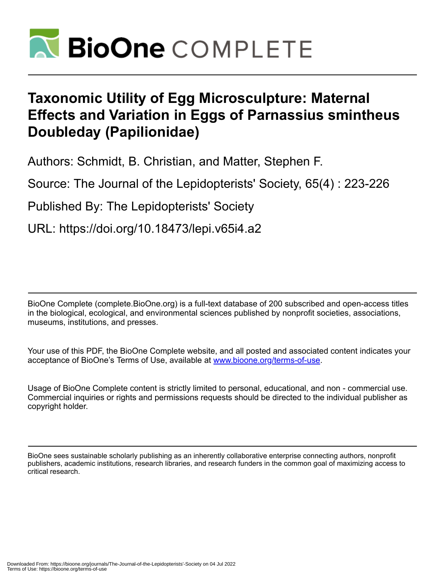

# **Taxonomic Utility of Egg Microsculpture: Maternal Effects and Variation in Eggs of Parnassius smintheus Doubleday (Papilionidae)**

Authors: Schmidt, B. Christian, and Matter, Stephen F.

Source: The Journal of the Lepidopterists' Society, 65(4) : 223-226

Published By: The Lepidopterists' Society

URL: https://doi.org/10.18473/lepi.v65i4.a2

BioOne Complete (complete.BioOne.org) is a full-text database of 200 subscribed and open-access titles in the biological, ecological, and environmental sciences published by nonprofit societies, associations, museums, institutions, and presses.

Your use of this PDF, the BioOne Complete website, and all posted and associated content indicates your acceptance of BioOne's Terms of Use, available at www.bioone.org/terms-of-use.

Usage of BioOne Complete content is strictly limited to personal, educational, and non - commercial use. Commercial inquiries or rights and permissions requests should be directed to the individual publisher as copyright holder.

BioOne sees sustainable scholarly publishing as an inherently collaborative enterprise connecting authors, nonprofit publishers, academic institutions, research libraries, and research funders in the common goal of maximizing access to critical research.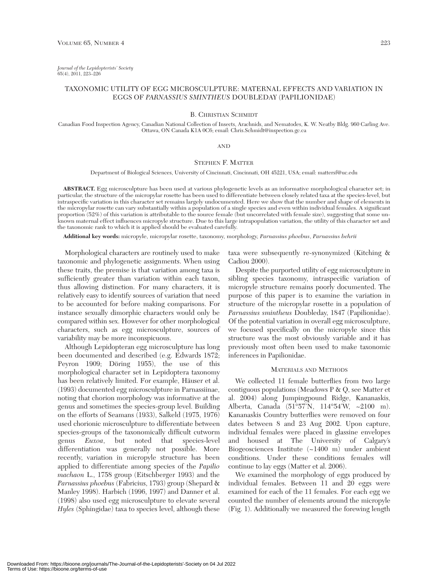*Journal of the Lepidopterists' Society* 65(4), 2011, 223–226

# TAXONOMIC UTILITY OF EGG MICROSCULPTURE: MATERNAL EFFECTS AND VARIATION IN EGGS OF *PARNASSIUS SMINTHEUS* DOUBLEDAY (PAPILIONIDAE)

# B. CHRISTIAN SCHMIDT

Canadian Food Inspection Agency, Canadian National Collection of Insects, Arachnids, and Nematodes, K. W. Neatby Bldg. 960 Carling Ave. Ottawa, ON Canada K1A 0C6; email: Chris.Schmidt@inspection.gc.ca

## AND

# STEPHEN F. MATTER

Department of Biological Sciences, University of Cincinnati, Cincinnati, OH 45221, USA; email: mattersf@uc.edu

**ABSTRACT.** Egg microsculpture has been used at various phylogenetic levels as an informative morphological character set; in particular, the structure of the micropylar rosette has been used to differentiate between closely related taxa at the species-level, but intraspecific variation in this character set remains largely undocumented. Here we show that the number and shape of elements in the micropylar rosette can vary substantially within a population of a single species and even within individual females. A significant proportion (52%) of this variation is attributable to the source female (but uncorrelated with female size), suggesting that some unknown maternal effect influences micropyle structure. Due to this large intrapopulation variation, the utility of this character set and the taxonomic rank to which it is applied should be evaluated carefully.

**Additional key words:** micropyle, micropylar rosette, taxonomy, morphology, *Parnassius phoebus*, *Parnassius behrii*

Morphological characters are routinely used to make taxonomic and phylogenetic assignments. When using these traits, the premise is that variation among taxa is sufficiently greater than variation within each taxon, thus allowing distinction. For many characters, it is relatively easy to identify sources of variation that need to be accounted for before making comparisons. For instance sexually dimorphic characters would only be compared within sex. However for other morphological characters, such as egg microsculpture, sources of variability may be more inconspicuous.

Although Lepidopteran egg microsculpture has long been documented and described (e.g. Edwards 1872; Peyron 1909; Döring 1955), the use of this morphological character set in Lepidoptera taxonomy has been relatively limited. For example, Häuser et al. (1993) documented egg microsculpture in Parnassiinae, noting that chorion morphology was informative at the genus and sometimes the species-group level. Building on the efforts of Seamans (1933), Salkeld (1975, 1976) used chorionic microsculpture to differentiate between species-groups of the taxonomically difficult cutworm genus *Euxoa*, but noted that species-level differentiation was generally not possible. More recently, variation in micropyle structure has been applied to differentiate among species of the *Papilio machaon* L., 1758 group (Eitschberger 1993) and the *Parnassius phoebus* (Fabricius, 1793) group (Shepard & Manley 1998). Harbich (1996, 1997) and Danner et al. (1998) also used egg microsculpture to elevate several *Hyles* (Sphingidae) taxa to species level, although these

taxa were subsequently re-synonymized (Kitching & Cadiou 2000).

Despite the purported utility of egg microsculpture in sibling species taxonomy, intraspecific variation of micropyle structure remains poorly documented. The purpose of this paper is to examine the variation in structure of the micropylar rosette in a population of *Parnassius smintheus* Doubleday, 1847 (Papilionidae). Of the potential variation in overall egg microsculpture, we focused specifically on the micropyle since this structure was the most obviously variable and it has previously most often been used to make taxonomic inferences in Papilionidae.

#### MATERIALS AND METHODS

We collected 11 female butterflies from two large contiguous populations (Meadows P & Q, see Matter et al. 2004) along Jumpingpound Ridge, Kananaskis, Alberta, Canada (51°57'N, 114°54'W, ~2100 m). Kananaskis Country butterflies were removed on four dates between 8 and 23 Aug 2002. Upon capture, individual females were placed in glassine envelopes and housed at The University of Calgary's Biogeosciences Institute (~1400 m) under ambient conditions. Under these conditions females will continue to lay eggs (Matter et al. 2006).

We examined the morphology of eggs produced by individual females. Between 11 and 20 eggs were examined for each of the 11 females. For each egg we counted the number of elements around the micropyle (Fig. 1). Additionally we measured the forewing length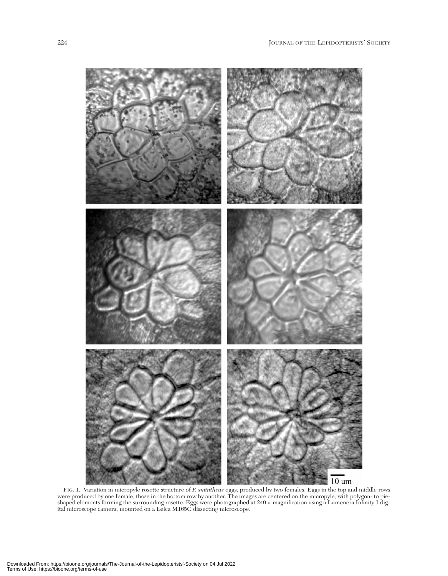

FIG. 1. Variation in micropyle rosette structure of *P. smintheus* eggs, produced by two females. Eggs in the top and middle rows were produced by one female, those in the bottom row by another. The images are centered on the micropyle, with polygon- to pieshaped elements forming the surrounding rosette. Eggs were photographed at 240 × magnification using a Lumenera Infinity 1 digital microscope camera, mounted on a Leica M165C dissecting microscope.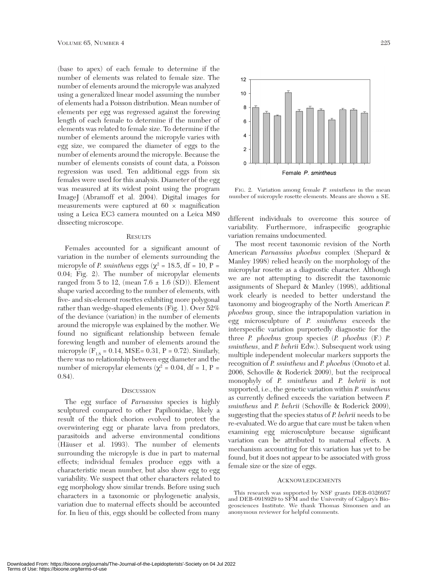(base to apex) of each female to determine if the number of elements was related to female size. The number of elements around the micropyle was analyzed using a generalized linear model assuming the number of elements had a Poisson distribution. Mean number of elements per egg was regressed against the forewing length of each female to determine if the number of elements was related to female size. To determine if the number of elements around the micropyle varies with egg size, we compared the diameter of eggs to the number of elements around the micropyle. Because the number of elements consists of count data, a Poisson regression was used. Ten additional eggs from six females were used for this analysis. Diameter of the egg was measured at its widest point using the program ImageJ (Abramoff et al. 2004). Digital images for measurements were captured at  $60 \times$  magnification using a Leica EC3 camera mounted on a Leica M80 dissecting microscope.

#### **RESULTS**

Females accounted for a significant amount of variation in the number of elements surrounding the micropyle of *P. smintheus* eggs ( $\chi^2$  = 18.5, df = 10, P = 0.04; Fig. 2). The number of micropylar elements ranged from 5 to 12, (mean  $7.6 \pm 1.6$  (SD)). Element shape varied according to the number of elements, with five- and six-element rosettes exhibiting more polygonal rather than wedge-shaped elements (Fig. 1). Over 52% of the deviance (variation) in the number of elements around the micropyle was explained by the mother. We found no significant relationship between female forewing length and number of elements around the micropyle ( $F_{1,8} = 0.14$ , MSE= 0.31, P = 0.72). Similarly, there was no relationship between egg diameter and the number of micropylar elements ( $χ² = 0.04$ , df = 1, P = 0.84).

#### **DISCUSSION**

The egg surface of *Parnassius* species is highly sculptured compared to other Papilionidae, likely a result of the thick chorion evolved to protect the overwintering egg or pharate larva from predators, parasitoids and adverse environmental conditions (Häuser et al. 1993). The number of elements surrounding the micropyle is due in part to maternal effects; individual females produce eggs with a characteristic mean number, but also show egg to egg variability. We suspect that other characters related to egg morphology show similar trends. Before using such characters in a taxonomic or phylogenetic analysis, variation due to maternal effects should be accounted for. In lieu of this, eggs should be collected from many



FIG. 2. Variation among female *P. smintheus* in the mean number of micropyle rosette elements. Means are shown ± SE.

different individuals to overcome this source of variability. Furthermore, infraspecific geographic variation remains undocumented.

The most recent taxonomic revision of the North American *Parnassius phoebus* complex (Shepard & Manley 1998) relied heavily on the morphology of the micropylar rosette as a diagnostic character. Although we are not attempting to discredit the taxonomic assignments of Shepard & Manley (1998), additional work clearly is needed to better understand the taxonomy and biogeography of the North American *P. phoebus* group, since the intrapopulation variation in egg microsculpture of *P. smintheus* exceeds the interspecific variation purportedly diagnostic for the three *P. phoebus* group species (*P. phoebus* (F.) *P. smintheus*, and *P. behrii* Edw.). Subsequent work using multiple independent molecular markers supports the recognition of *P. smintheus* and *P. phoebus* (Omoto et al. 2006, Schoville & Roderick 2009), but the reciprocal monophyly of *P. smintheus* and *P. behrii* is not supported, i.e., the genetic variation within *P. smintheus* as currently defined exceeds the variation between *P. smintheus* and *P. behrii* (Schoville & Roderick 2009), suggesting that the species status of *P. behrii* needs to be re-evaluated. We do argue that care must be taken when examining egg microsculpture because significant variation can be attributed to maternal effects. A mechanism accounting for this variation has yet to be found, but it does not appear to be associated with gross female size or the size of eggs.

#### ACKNOWLEDGEMENTS

This research was supported by NSF grants DEB-0326957 and DEB-0918929 to SFM and the University of Calgary's Biogeosciences Institute. We thank Thomas Simonsen and an anonymous reviewer for helpful comments.